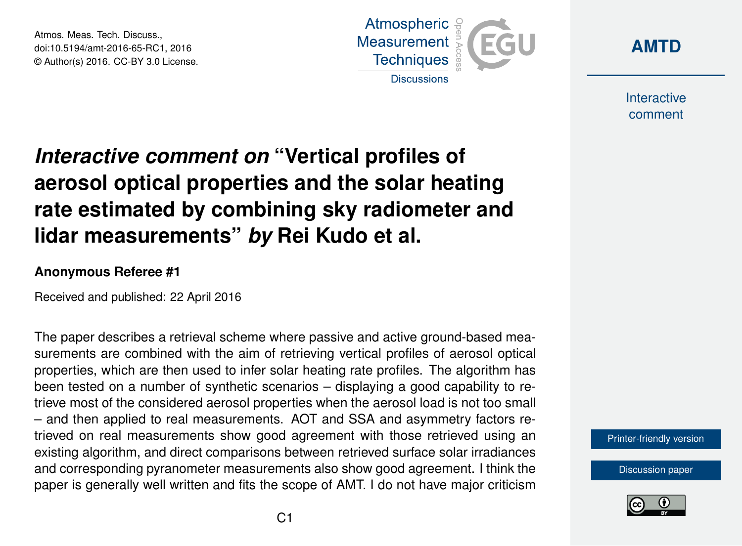Atmos. Meas. Tech. Discuss., doi:10.5194/amt-2016-65-RC1, 2016 © Author(s) 2016. CC-BY 3.0 License.





**Interactive** comment

# *Interactive comment on* **"Vertical profiles of aerosol optical properties and the solar heating rate estimated by combining sky radiometer and lidar measurements"** *by* **Rei Kudo et al.**

### **Anonymous Referee #1**

Received and published: 22 April 2016

The paper describes a retrieval scheme where passive and active ground-based measurements are combined with the aim of retrieving vertical profiles of aerosol optical properties, which are then used to infer solar heating rate profiles. The algorithm has been tested on a number of synthetic scenarios – displaying a good capability to retrieve most of the considered aerosol properties when the aerosol load is not too small – and then applied to real measurements. AOT and SSA and asymmetry factors retrieved on real measurements show good agreement with those retrieved using an existing algorithm, and direct comparisons between retrieved surface solar irradiances and corresponding pyranometer measurements also show good agreement. I think the paper is generally well written and fits the scope of AMT. I do not have major criticism

[Printer-friendly version](http://www.atmos-meas-tech-discuss.net/amt-2016-65/amt-2016-65-RC1-print.pdf)

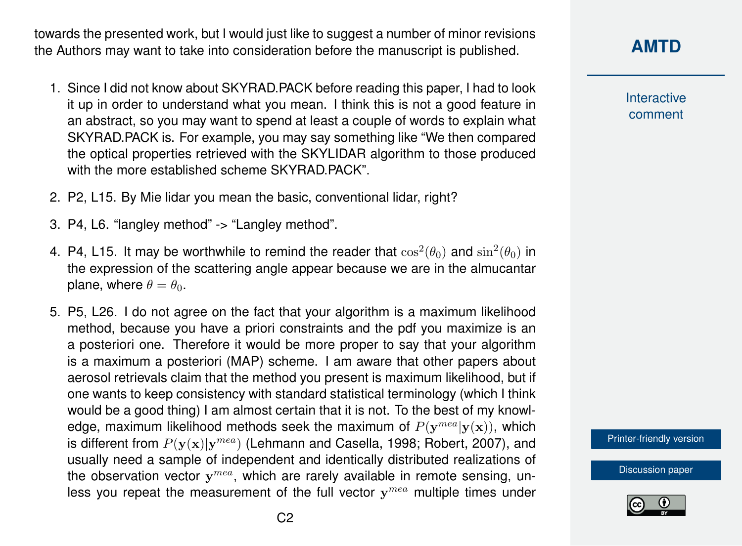towards the presented work, but I would just like to suggest a number of minor revisions the Authors may want to take into consideration before the manuscript is published.

- 1. Since I did not know about SKYRAD.PACK before reading this paper, I had to look it up in order to understand what you mean. I think this is not a good feature in an abstract, so you may want to spend at least a couple of words to explain what SKYRAD.PACK is. For example, you may say something like "We then compared the optical properties retrieved with the SKYLIDAR algorithm to those produced with the more established scheme SKYRAD PACK"
- 2. P2, L15. By Mie lidar you mean the basic, conventional lidar, right?
- 3. P4, L6. "langley method" -> "Langley method".
- 4. P4, L15. It may be worthwhile to remind the reader that  $\cos^2(\theta_0)$  and  $\sin^2(\theta_0)$  in the expression of the scattering angle appear because we are in the almucantar plane, where  $\theta = \theta_0$ .
- 5. P5, L26. I do not agree on the fact that your algorithm is a maximum likelihood method, because you have a priori constraints and the pdf you maximize is an a posteriori one. Therefore it would be more proper to say that your algorithm is a maximum a posteriori (MAP) scheme. I am aware that other papers about aerosol retrievals claim that the method you present is maximum likelihood, but if one wants to keep consistency with standard statistical terminology (which I think would be a good thing) I am almost certain that it is not. To the best of my knowledge, maximum likelihood methods seek the maximum of  $P(\mathbf{y}^{mea}|\mathbf{y}(\mathbf{x}))$ , which is different from  $P(y(x)|y^{mea})$  (Lehmann and Casella, 1998; Robert, 2007), and usually need a sample of independent and identically distributed realizations of the observation vector  $y^{mea}$ , which are rarely available in remote sensing, unless you repeat the measurement of the full vector  $y^{mea}$  multiple times under

**[AMTD](http://www.atmos-meas-tech-discuss.net/)**

**Interactive** comment

[Printer-friendly version](http://www.atmos-meas-tech-discuss.net/amt-2016-65/amt-2016-65-RC1-print.pdf)

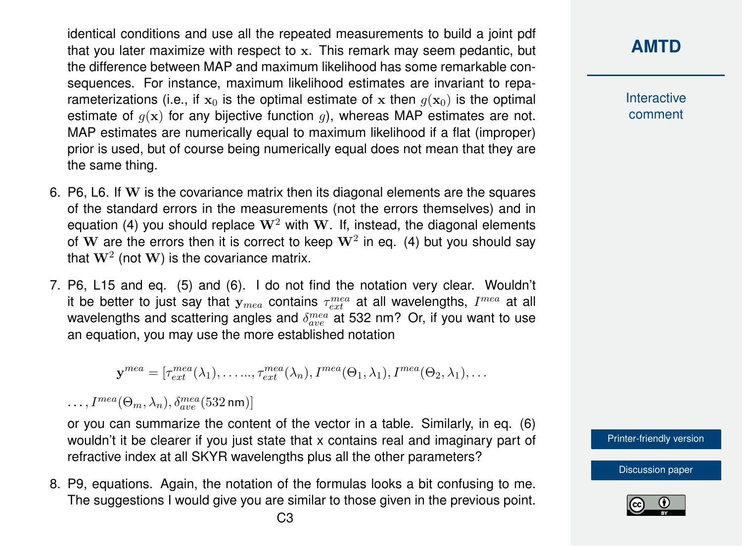identical conditions and use all the repeated measurements to build a joint pdf that you later maximize with respect to x. This remark may seem pedantic, but the difference between MAP and maximum likelihood has some remarkable consequences. For instance, maximum likelihood estimates are invariant to reparameterizations (i.e., if  $x_0$  is the optimal estimate of x then  $g(x_0)$  is the optimal estimate of  $q(x)$  for any bijective function q, whereas MAP estimates are not. MAP estimates are numerically equal to maximum likelihood if a flat (improper) prior is used, but of course being numerically equal does not mean that they are the same thing.

- 6. P6, L6. If W is the covariance matrix then its diagonal elements are the squares of the standard errors in the measurements (not the errors themselves) and in equation (4) you should replace  $W^2$  with W. If, instead, the diagonal elements of  $\bf{W}$  are the errors then it is correct to keep  $\bf{W}^2$  in eq. (4) but you should say that  $\mathbf{W}^2$  (not  $\mathbf{W})$  is the covariance matrix.
- 7. P6, L15 and eq. (5) and (6). I do not find the notation very clear. Wouldn't it be better to just say that  $\mathbf{y}_{mea}$  contains  $\tau_{ext}^{mea}$  at all wavelengths,  $I^{mea}$  at all wavelengths and scattering angles and  $\delta_{ave}^{mea}$  at 532 nm? Or, if you want to use an equation, you may use the more established notation

 $\mathbf{y}^{mea} = [\tau_{ext}^{mea}(\lambda_1), \ldots, \tau_{ext}^{mea}(\lambda_n), I^{mea}(\Theta_1, \lambda_1), I^{mea}(\Theta_2, \lambda_1), \ldots]$ 

 $\ldots, I^{mea}(\Theta_m, \lambda_n), \delta^{mea}_{ave}(532\,\text{nm})]$ 

or you can summarize the content of the vector in a table. Similarly, in eq. (6) wouldn't it be clearer if you just state that x contains real and imaginary part of refractive index at all SKYR wavelengths plus all the other parameters?

8. P9, equations. Again, the notation of the formulas looks a bit confusing to me. The suggestions I would give you are similar to those given in the previous point.

## **[AMTD](http://www.atmos-meas-tech-discuss.net/)**

**Interactive** comment

[Printer-friendly version](http://www.atmos-meas-tech-discuss.net/amt-2016-65/amt-2016-65-RC1-print.pdf)

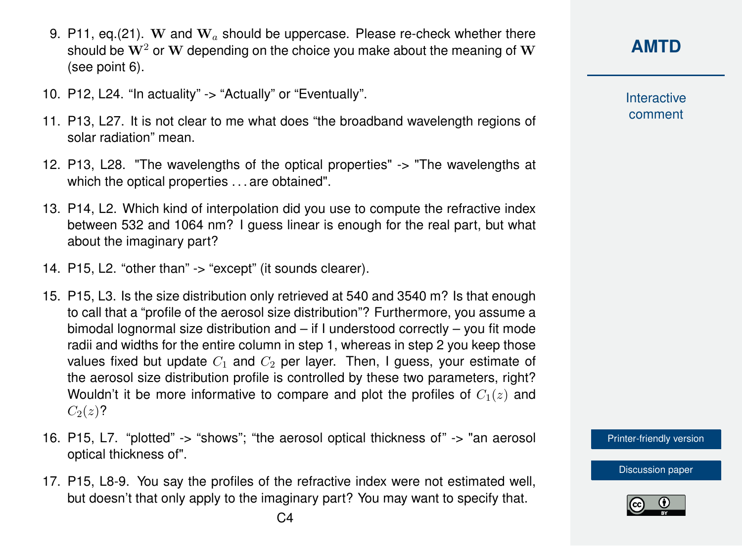- 9. P11, eq.(21). W and  $W_a$  should be uppercase. Please re-check whether there should be  $W^2$  or W depending on the choice you make about the meaning of W (see point 6).
- 10. P12, L24. "In actuality" -> "Actually" or "Eventually".
- 11. P13, L27. It is not clear to me what does "the broadband wavelength regions of solar radiation" mean.
- 12. P13, L28. "The wavelengths of the optical properties" -> "The wavelengths at which the optical properties . . . are obtained".
- 13. P14, L2. Which kind of interpolation did you use to compute the refractive index between 532 and 1064 nm? I guess linear is enough for the real part, but what about the imaginary part?
- 14. P15, L2. "other than" -> "except" (it sounds clearer).
- 15. P15, L3. Is the size distribution only retrieved at 540 and 3540 m? Is that enough to call that a "profile of the aerosol size distribution"? Furthermore, you assume a bimodal lognormal size distribution and – if I understood correctly – you fit mode radii and widths for the entire column in step 1, whereas in step 2 you keep those values fixed but update  $C_1$  and  $C_2$  per layer. Then, I guess, your estimate of the aerosol size distribution profile is controlled by these two parameters, right? Wouldn't it be more informative to compare and plot the profiles of  $C_1(z)$  and  $C_2(z)$ ?
- 16. P15, L7. "plotted" -> "shows"; "the aerosol optical thickness of" -> "an aerosol optical thickness of".
- 17. P15, L8-9. You say the profiles of the refractive index were not estimated well, but doesn't that only apply to the imaginary part? You may want to specify that.

**Interactive** comment

[Printer-friendly version](http://www.atmos-meas-tech-discuss.net/amt-2016-65/amt-2016-65-RC1-print.pdf)